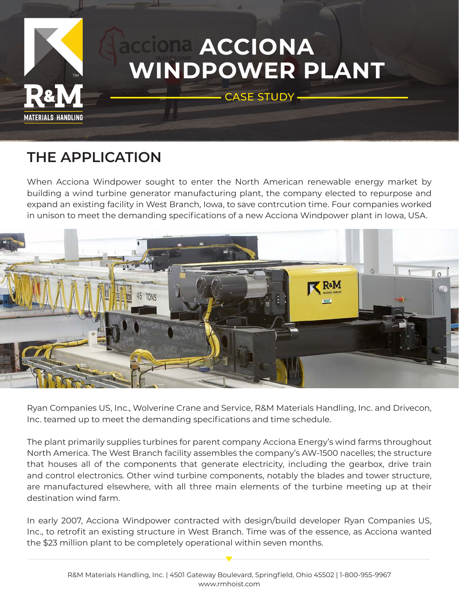

## **THE APPLICATION**

When Acciona Windpower sought to enter the North American renewable energy market by building a wind turbine generator manufacturing plant, the company elected to repurpose and expand an existing facility in West Branch, Iowa, to save contrcution time. Four companies worked in unison to meet the demanding specifications of a new Acciona Windpower plant in Iowa, USA.



Ryan Companies US, Inc., Wolverine Crane and Service, R&M Materials Handling, Inc. and Drivecon, Inc. teamed up to meet the demanding specifications and time schedule.

The plant primarily supplies turbines for parent company Acciona Energy's wind farms throughout North America. The West Branch facility assembles the company's AW-1500 nacelles; the structure that houses all of the components that generate electricity, including the gearbox, drive train and control electronics. Other wind turbine components, notably the blades and tower structure, are manufactured elsewhere, with all three main elements of the turbine meeting up at their destination wind farm.

In early 2007, Acciona Windpower contracted with design/build developer Ryan Companies US, Inc., to retrofit an existing structure in West Branch. Time was of the essence, as Acciona wanted the \$23 million plant to be completely operational within seven months.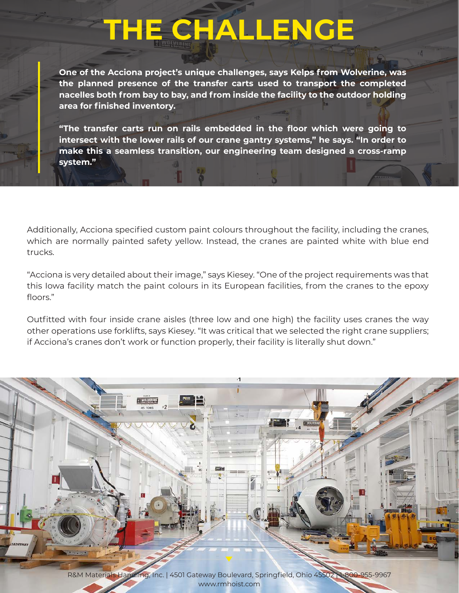## **THE CHALLENGE**

**One of the Acciona project's unique challenges, says Kelps from Wolverine, was the planned presence of the transfer carts used to transport the completed nacelles both from bay to bay, and from inside the facility to the outdoor holding area for finished inventory.**

**"The transfer carts run on rails embedded in the floor which were going to intersect with the lower rails of our crane gantry systems," he says. "In order to make this a seamless transition, our engineering team designed a cross-ramp system."**

Additionally, Acciona specified custom paint colours throughout the facility, including the cranes, which are normally painted safety yellow. Instead, the cranes are painted white with blue end trucks.

"Acciona is very detailed about their image," says Kiesey. "One of the project requirements was that this Iowa facility match the paint colours in its European facilities, from the cranes to the epoxy floors."

Outfitted with four inside crane aisles (three low and one high) the facility uses cranes the way other operations use forklifts, says Kiesey. "It was critical that we selected the right crane suppliers; if Acciona's cranes don't work or function properly, their facility is literally shut down."

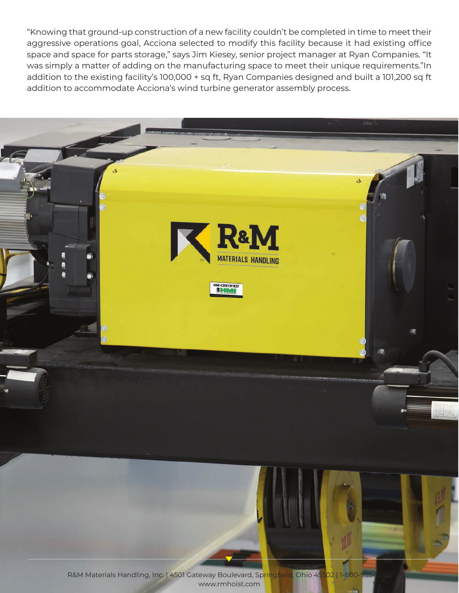"Knowing that ground-up construction of a new facility couldn't be completed in time to meet their aggressive operations goal, Acciona selected to modify this facility because it had existing office space and space for parts storage," says Jim Kiesey, senior project manager at Ryan Companies. "It was simply a matter of adding on the manufacturing space to meet their unique requirements."In addition to the existing facility's 100,000 + sq ft, Ryan Companies designed and built a 101,200 sq ft addition to accommodate Acciona's wind turbine generator assembly process.

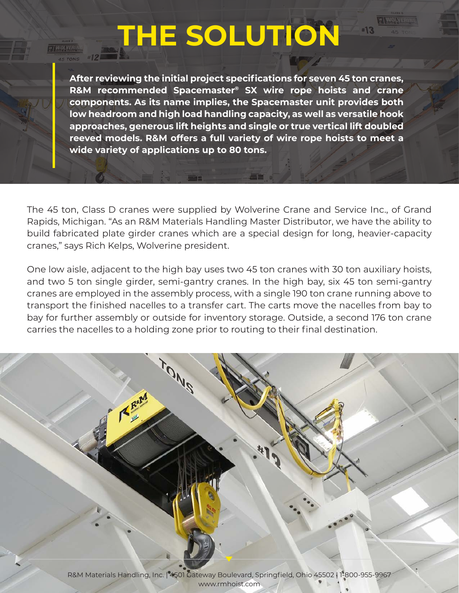## **THE SOLUTION**

 $+13$ 

**After reviewing the initial project specifications for seven 45 ton cranes, R&M recommended Spacemaster® SX wire rope hoists and crane components. As its name implies, the Spacemaster unit provides both low headroom and high load handling capacity, as well as versatile hook approaches, generous lift heights and single or true vertical lift doubled reeved models. R&M offers a full variety of wire rope hoists to meet a wide variety of applications up to 80 tons.** 

The 45 ton, Class D cranes were supplied by Wolverine Crane and Service Inc., of Grand Rapids, Michigan. "As an R&M Materials Handling Master Distributor, we have the ability to build fabricated plate girder cranes which are a special design for long, heavier-capacity cranes," says Rich Kelps, Wolverine president.

One low aisle, adjacent to the high bay uses two 45 ton cranes with 30 ton auxiliary hoists, and two 5 ton single girder, semi-gantry cranes. In the high bay, six 45 ton semi-gantry cranes are employed in the assembly process, with a single 190 ton crane running above to transport the finished nacelles to a transfer cart. The carts move the nacelles from bay to bay for further assembly or outside for inventory storage. Outside, a second 176 ton crane carries the nacelles to a holding zone prior to routing to their final destination.

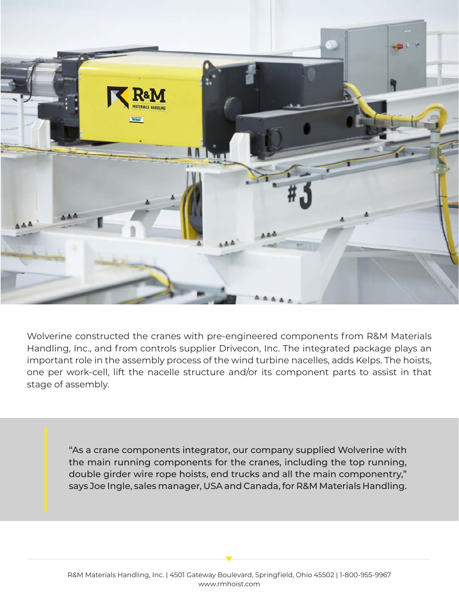

Wolverine constructed the cranes with pre-engineered components from R&M Materials Handling, Inc., and from controls supplier Drivecon, Inc. The integrated package plays an important role in the assembly process of the wind turbine nacelles, adds Kelps. The hoists, one per work-cell, lift the nacelle structure and/or its component parts to assist in that stage of assembly.

> "As a crane components integrator, our company supplied Wolverine with the main running components for the cranes, including the top running, double girder wire rope hoists, end trucks and all the main componentry," says Joe Ingle, sales manager, USA and Canada, for R&M Materials Handling.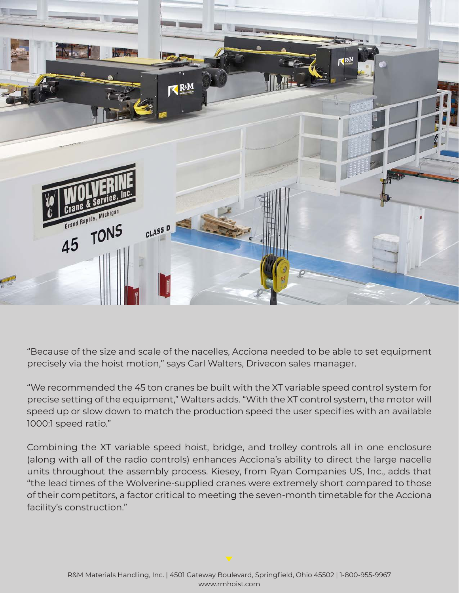

"Because of the size and scale of the nacelles, Acciona needed to be able to set equipment precisely via the hoist motion," says Carl Walters, Drivecon sales manager.

"We recommended the 45 ton cranes be built with the XT variable speed control system for precise setting of the equipment," Walters adds. "With the XT control system, the motor will speed up or slow down to match the production speed the user specifies with an available 1000:1 speed ratio."

Combining the XT variable speed hoist, bridge, and trolley controls all in one enclosure (along with all of the radio controls) enhances Acciona's ability to direct the large nacelle units throughout the assembly process. Kiesey, from Ryan Companies US, Inc., adds that "the lead times of the Wolverine-supplied cranes were extremely short compared to those of their competitors, a factor critical to meeting the seven-month timetable for the Acciona facility's construction."